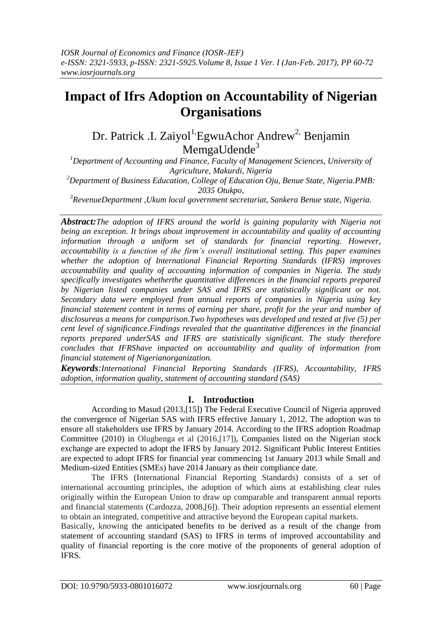# **Impact of Ifrs Adoption on Accountability of Nigerian Organisations**

Dr. Patrick .I. Zaiyol<sup>1,</sup>EgwuAchor Andrew<sup>2,</sup> Benjamin MemgaUdende<sup>3</sup>

*<sup>1</sup>Department of Accounting and Finance, Faculty of Management Sciences, University of Agriculture, Makurdi, Nigeria*

*<sup>2</sup>Department of Business Education, College of Education Oju, Benue State, Nigeria.PMB: 2035 Otukpo,*

*<sup>3</sup>RevenueDepartment ,Ukum local government secretariat, Sankera Benue state, Nigeria.*

*Abstract:The adoption of IFRS around the world is gaining popularity with Nigeria not being an exception. It brings about improvement in accountability and quality of accounting information through a uniform set of standards for financial reporting. However, accountability is a function of the firm's overall institutional setting. This paper examines whether the adoption of International Financial Reporting Standards (IFRS) improves accountability and quality of accounting information of companies in Nigeria. The study specifically investigates whetherthe quantitative differences in the financial reports prepared by Nigerian listed companies under SAS and IFRS are statistically significant or not. Secondary data were employed from annual reports of companies in Nigeria using key financial statement content in terms of earning per share, profit for the year and number of disclosureas a means for comparison.Two hypotheses was developed and tested at five (5) per cent level of significance.Findings revealed that the quantitative differences in the financial reports prepared underSAS and IFRS are statistically significant. The study therefore concludes that IFRShave impacted on accountability and quality of information from financial statement of Nigerianorganization.*

*Keywords:International Financial Reporting Standards (IFRS), Accountability, IFRS adoption, information quality, statement of accounting standard (SAS)*

# **I. Introduction**

According to Masud (2013,[15]) The Federal Executive Council of Nigeria approved the convergence of Nigerian SAS with IFRS effective January 1, 2012. The adoption was to ensure all stakeholders use IFRS by January 2014. According to the IFRS adoption Roadmap Committee (2010) in Olugbenga et al (2016,[17]), Companies listed on the Nigerian stock exchange are expected to adopt the IFRS by January 2012. Significant Public Interest Entities are expected to adopt IFRS for financial year commencing 1st January 2013 while Small and Medium-sized Entities (SMEs) have 2014 January as their compliance date.

The IFRS (International Financial Reporting Standards) consists of a set of international accounting principles, the adoption of which aims at establishing clear rules originally within the European Union to draw up comparable and transparent annual reports and financial statements (Cardozza, 2008,[6]). Their adoption represents an essential element to obtain an integrated, competitive and attractive beyond the European capital markets.

Basically, knowing the anticipated benefits to be derived as a result of the change from statement of accounting standard (SAS) to IFRS in terms of improved accountability and quality of financial reporting is the core motive of the proponents of general adoption of IFRS.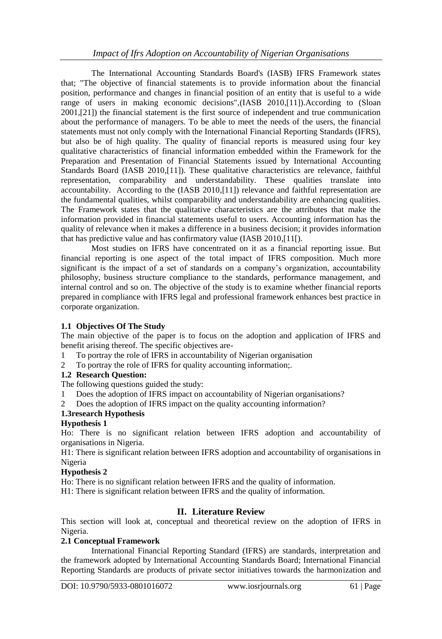The International Accounting Standards Board's (IASB) IFRS Framework states that; "The objective of financial statements is to provide information about the financial position, performance and changes in financial position of an entity that is useful to a wide range of users in making economic decisions",(IASB 2010,[11]).According to (Sloan 2001,[21]) the financial statement is the first source of independent and true communication about the performance of managers. To be able to meet the needs of the users, the financial statements must not only comply with the International Financial Reporting Standards (IFRS), but also be of high quality. The quality of financial reports is measured using four key qualitative characteristics of financial information embedded within the Framework for the Preparation and Presentation of Financial Statements issued by International Accounting Standards Board (IASB 2010,[11]). These qualitative characteristics are relevance, faithful representation, comparability and understandability. These qualities translate into accountability. According to the (IASB 2010,[11]) relevance and faithful representation are the fundamental qualities, whilst comparability and understandability are enhancing qualities. The Framework states that the qualitative characteristics are the attributes that make the information provided in financial statements useful to users. Accounting information has the quality of relevance when it makes a difference in a business decision; it provides information that has predictive value and has confirmatory value (IASB 2010,[11[).

Most studies on IFRS have concentrated on it as a financial reporting issue. But financial reporting is one aspect of the total impact of IFRS composition. Much more significant is the impact of a set of standards on a company"s organization, accountability philosophy, business structure compliance to the standards, performance management, and internal control and so on. The objective of the study is to examine whether financial reports prepared in compliance with IFRS legal and professional framework enhances best practice in corporate organization.

# **1.1 Objectives Of The Study**

The main objective of the paper is to focus on the adoption and application of IFRS and benefit arising thereof. The specific objectives are-

- 1 To portray the role of IFRS in accountability of Nigerian organisation
- 2 To portray the role of IFRS for quality accounting information;.

# **1.2 Research Question:**

The following questions guided the study:

- 1 Does the adoption of IFRS impact on accountability of Nigerian organisations?
- 2 Does the adoption of IFRS impact on the quality accounting information?

# **1.3research Hypothesis**

# **Hypothesis 1**

Ho: There is no significant relation between IFRS adoption and accountability of organisations in Nigeria.

H1: There is significant relation between IFRS adoption and accountability of organisations in Nigeria

# **Hypothesis 2**

Ho: There is no significant relation between IFRS and the quality of information.

H1: There is significant relation between IFRS and the quality of information.

# **II. Literature Review**

This section will look at, conceptual and theoretical review on the adoption of IFRS in Nigeria.

# **2.1 Conceptual Framework**

International Financial Reporting Standard (IFRS) are standards, interpretation and the framework adopted by International Accounting Standards Board; International Financial Reporting Standards are products of private sector initiatives towards the harmonization and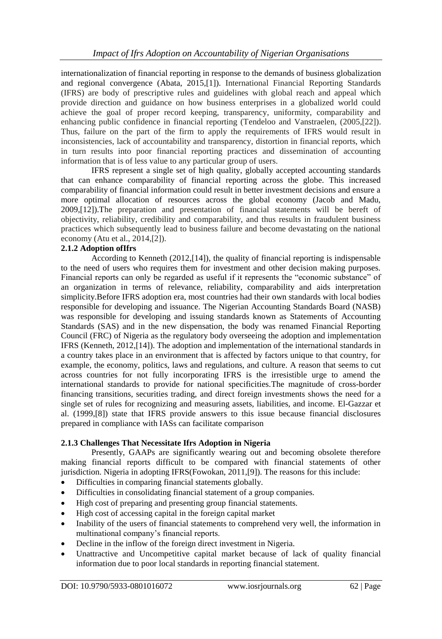internationalization of financial reporting in response to the demands of business globalization and regional convergence (Abata, 2015,[1]). International Financial Reporting Standards (IFRS) are body of prescriptive rules and guidelines with global reach and appeal which provide direction and guidance on how business enterprises in a globalized world could achieve the goal of proper record keeping, transparency, uniformity, comparability and enhancing public confidence in financial reporting (Tendeloo and Vanstraelen, (2005,[22]). Thus, failure on the part of the firm to apply the requirements of IFRS would result in inconsistencies, lack of accountability and transparency, distortion in financial reports, which in turn results into poor financial reporting practices and dissemination of accounting information that is of less value to any particular group of users.

IFRS represent a single set of high quality, globally accepted accounting standards that can enhance comparability of financial reporting across the globe. This increased comparability of financial information could result in better investment decisions and ensure a more optimal allocation of resources across the global economy (Jacob and Madu, 2009,[12]).The preparation and presentation of financial statements will be bereft of objectivity, reliability, credibility and comparability, and thus results in fraudulent business practices which subsequently lead to business failure and become devastating on the national economy (Atu et al., 2014,[2]).

## **2.1.2 Adoption ofIfrs**

According to Kenneth (2012,[14]), the quality of financial reporting is indispensable to the need of users who requires them for investment and other decision making purposes. Financial reports can only be regarded as useful if it represents the "economic substance" of an organization in terms of relevance, reliability, comparability and aids interpretation simplicity.Before IFRS adoption era, most countries had their own standards with local bodies responsible for developing and issuance. The Nigerian Accounting Standards Board (NASB) was responsible for developing and issuing standards known as Statements of Accounting Standards (SAS) and in the new dispensation, the body was renamed Financial Reporting Council (FRC) of Nigeria as the regulatory body overseeing the adoption and implementation IFRS (Kenneth, 2012,[14]). The adoption and implementation of the international standards in a country takes place in an environment that is affected by factors unique to that country, for example, the economy, politics, laws and regulations, and culture. A reason that seems to cut across countries for not fully incorporating IFRS is the irresistible urge to amend the international standards to provide for national specificities.The magnitude of cross-border financing transitions, securities trading, and direct foreign investments shows the need for a single set of rules for recognizing and measuring assets, liabilities, and income. El-Gazzar et al. (1999,[8]) state that IFRS provide answers to this issue because financial disclosures prepared in compliance with IASs can facilitate comparison

# **2.1.3 Challenges That Necessitate Ifrs Adoption in Nigeria**

Presently, GAAPs are significantly wearing out and becoming obsolete therefore making financial reports difficult to be compared with financial statements of other jurisdiction. Nigeria in adopting IFRS(Fowokan, 2011,[9]). The reasons for this include:

- Difficulties in comparing financial statements globally.
- Difficulties in consolidating financial statement of a group companies.
- High cost of preparing and presenting group financial statements.
- High cost of accessing capital in the foreign capital market
- Inability of the users of financial statements to comprehend very well, the information in multinational company"s financial reports.
- Decline in the inflow of the foreign direct investment in Nigeria.
- Unattractive and Uncompetitive capital market because of lack of quality financial information due to poor local standards in reporting financial statement.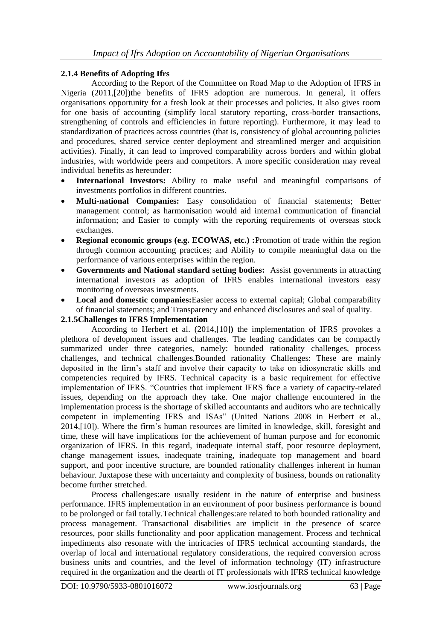## **2.1.4 Benefits of Adopting Ifrs**

According to the Report of the Committee on Road Map to the Adoption of IFRS in Nigeria (2011,[20])the benefits of IFRS adoption are numerous. In general, it offers organisations opportunity for a fresh look at their processes and policies. It also gives room for one basis of accounting (simplify local statutory reporting, cross-border transactions, strengthening of controls and efficiencies in future reporting). Furthermore, it may lead to standardization of practices across countries (that is, consistency of global accounting policies and procedures, shared service center deployment and streamlined merger and acquisition activities). Finally, it can lead to improved comparability across borders and within global industries, with worldwide peers and competitors. A more specific consideration may reveal individual benefits as hereunder:

- **International Investors:** Ability to make useful and meaningful comparisons of investments portfolios in different countries.
- **Multi-national Companies:** Easy consolidation of financial statements; Better management control; as harmonisation would aid internal communication of financial information; and Easier to comply with the reporting requirements of overseas stock exchanges.
- **Regional economic groups (e.g. ECOWAS, etc.) :**Promotion of trade within the region through common accounting practices; and Ability to compile meaningful data on the performance of various enterprises within the region.
- **Governments and National standard setting bodies:** Assist governments in attracting international investors as adoption of IFRS enables international investors easy monitoring of overseas investments.
- **Local and domestic companies:**Easier access to external capital; Global comparability of financial statements; and Transparency and enhanced disclosures and seal of quality.

#### **2.1.5Challenges to IFRS Implementation**

According to Herbert et al. (2014,[10]**)** the implementation of IFRS provokes a plethora of development issues and challenges. The leading candidates can be compactly summarized under three categories, namely: bounded rationality challenges, process challenges, and technical challenges.Bounded rationality Challenges: These are mainly deposited in the firm"s staff and involve their capacity to take on idiosyncratic skills and competencies required by IFRS. Technical capacity is a basic requirement for effective implementation of IFRS. "Countries that implement IFRS face a variety of capacity-related issues, depending on the approach they take. One major challenge encountered in the implementation process is the shortage of skilled accountants and auditors who are technically competent in implementing IFRS and ISAs" (United Nations 2008 in Herbert et al., 2014,[10]). Where the firm"s human resources are limited in knowledge, skill, foresight and time, these will have implications for the achievement of human purpose and for economic organization of IFRS. In this regard, inadequate internal staff, poor resource deployment, change management issues, inadequate training, inadequate top management and board support, and poor incentive structure, are bounded rationality challenges inherent in human behaviour. Juxtapose these with uncertainty and complexity of business, bounds on rationality become further stretched.

Process challenges:are usually resident in the nature of enterprise and business performance. IFRS implementation in an environment of poor business performance is bound to be prolonged or fail totally.Technical challenges:are related to both bounded rationality and process management. Transactional disabilities are implicit in the presence of scarce resources, poor skills functionality and poor application management. Process and technical impediments also resonate with the intricacies of IFRS technical accounting standards, the overlap of local and international regulatory considerations, the required conversion across business units and countries, and the level of information technology (IT) infrastructure required in the organization and the dearth of IT professionals with IFRS technical knowledge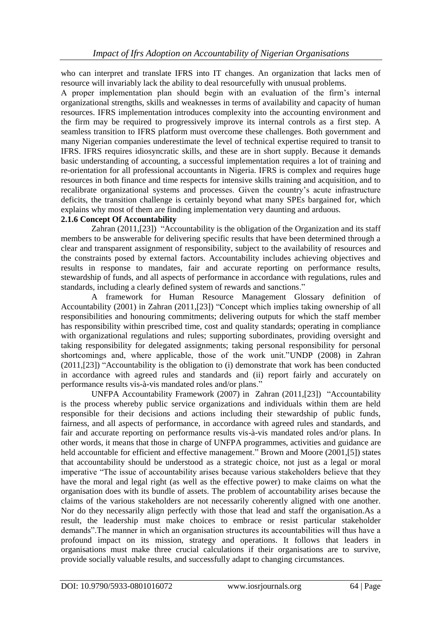who can interpret and translate IFRS into IT changes. An organization that lacks men of resource will invariably lack the ability to deal resourcefully with unusual problems.

A proper implementation plan should begin with an evaluation of the firm"s internal organizational strengths, skills and weaknesses in terms of availability and capacity of human resources. IFRS implementation introduces complexity into the accounting environment and the firm may be required to progressively improve its internal controls as a first step. A seamless transition to IFRS platform must overcome these challenges. Both government and many Nigerian companies underestimate the level of technical expertise required to transit to IFRS. IFRS requires idiosyncratic skills, and these are in short supply. Because it demands basic understanding of accounting, a successful implementation requires a lot of training and re-orientation for all professional accountants in Nigeria. IFRS is complex and requires huge resources in both finance and time respects for intensive skills training and acquisition, and to recalibrate organizational systems and processes. Given the country"s acute infrastructure deficits, the transition challenge is certainly beyond what many SPEs bargained for, which explains why most of them are finding implementation very daunting and arduous.

## **2.1.6 Concept Of Accountability**

Zahran (2011,[23]) "Accountability is the obligation of the Organization and its staff members to be answerable for delivering specific results that have been determined through a clear and transparent assignment of responsibility, subject to the availability of resources and the constraints posed by external factors. Accountability includes achieving objectives and results in response to mandates, fair and accurate reporting on performance results, stewardship of funds, and all aspects of performance in accordance with regulations, rules and standards, including a clearly defined system of rewards and sanctions."

A framework for Human Resource Management Glossary definition of Accountability (2001) in Zahran (2011,[23]) "Concept which implies taking ownership of all responsibilities and honouring commitments; delivering outputs for which the staff member has responsibility within prescribed time, cost and quality standards; operating in compliance with organizational regulations and rules; supporting subordinates, providing oversight and taking responsibility for delegated assignments; taking personal responsibility for personal shortcomings and, where applicable, those of the work unit."UNDP (2008) in Zahran (2011,[23]) "Accountability is the obligation to (i) demonstrate that work has been conducted in accordance with agreed rules and standards and (ii) report fairly and accurately on performance results vis-à-vis mandated roles and/or plans."

UNFPA Accountability Framework (2007) in Zahran (2011,[23]) "Accountability is the process whereby public service organizations and individuals within them are held responsible for their decisions and actions including their stewardship of public funds, fairness, and all aspects of performance, in accordance with agreed rules and standards, and fair and accurate reporting on performance results vis-à-vis mandated roles and/or plans. In other words, it means that those in charge of UNFPA programmes, activities and guidance are held accountable for efficient and effective management." Brown and Moore (2001,[5]) states that accountability should be understood as a strategic choice, not just as a legal or moral imperative "The issue of accountability arises because various stakeholders believe that they have the moral and legal right (as well as the effective power) to make claims on what the organisation does with its bundle of assets. The problem of accountability arises because the claims of the various stakeholders are not necessarily coherently aligned with one another. Nor do they necessarily align perfectly with those that lead and staff the organisation.As a result, the leadership must make choices to embrace or resist particular stakeholder demands".The manner in which an organisation structures its accountabilities will thus have a profound impact on its mission, strategy and operations. It follows that leaders in organisations must make three crucial calculations if their organisations are to survive, provide socially valuable results, and successfully adapt to changing circumstances.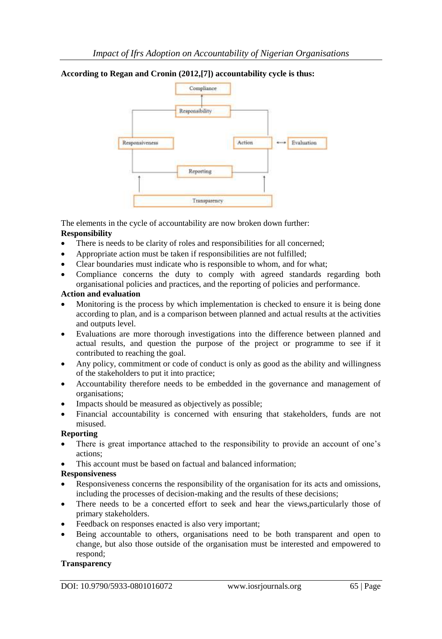# **According to Regan and Cronin (2012,[7]) accountability cycle is thus:**



The elements in the cycle of accountability are now broken down further: **Responsibility**

- There is needs to be clarity of roles and responsibilities for all concerned;
- Appropriate action must be taken if responsibilities are not fulfilled;
- Clear boundaries must indicate who is responsible to whom, and for what;
- Compliance concerns the duty to comply with agreed standards regarding both organisational policies and practices, and the reporting of policies and performance.

## **Action and evaluation**

- Monitoring is the process by which implementation is checked to ensure it is being done according to plan, and is a comparison between planned and actual results at the activities and outputs level.
- Evaluations are more thorough investigations into the difference between planned and actual results, and question the purpose of the project or programme to see if it contributed to reaching the goal.
- Any policy, commitment or code of conduct is only as good as the ability and willingness of the stakeholders to put it into practice;
- Accountability therefore needs to be embedded in the governance and management of organisations;
- Impacts should be measured as objectively as possible;
- Financial accountability is concerned with ensuring that stakeholders, funds are not misused.

# **Reporting**

- There is great importance attached to the responsibility to provide an account of one"s actions;
- This account must be based on factual and balanced information;

# **Responsiveness**

- Responsiveness concerns the responsibility of the organisation for its acts and omissions, including the processes of decision-making and the results of these decisions;
- There needs to be a concerted effort to seek and hear the views,particularly those of primary stakeholders.
- Feedback on responses enacted is also very important;
- Being accountable to others, organisations need to be both transparent and open to change, but also those outside of the organisation must be interested and empowered to respond;

#### **Transparency**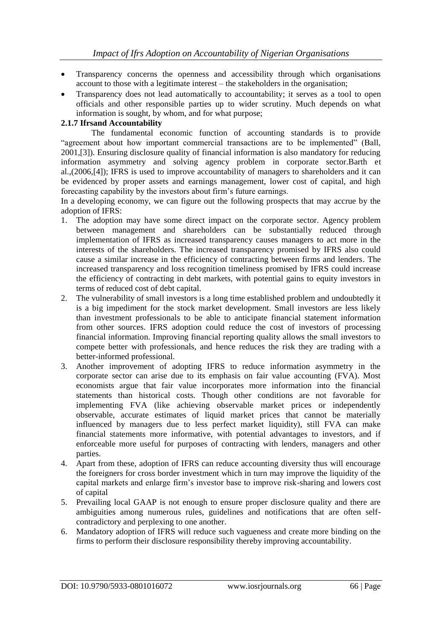- Transparency concerns the openness and accessibility through which organisations account to those with a legitimate interest – the stakeholders in the organisation;
- Transparency does not lead automatically to accountability; it serves as a tool to open officials and other responsible parties up to wider scrutiny. Much depends on what information is sought, by whom, and for what purpose;

#### **2.1.7 Ifrsand Accountability**

The fundamental economic function of accounting standards is to provide "agreement about how important commercial transactions are to be implemented" (Ball, 2001,[3]). Ensuring disclosure quality of financial information is also mandatory for reducing information asymmetry and solving agency problem in corporate sector.Barth et al.,(2006,[4]); IFRS is used to improve accountability of managers to shareholders and it can be evidenced by proper assets and earnings management, lower cost of capital, and high forecasting capability by the investors about firm"s future earnings.

In a developing economy, we can figure out the following prospects that may accrue by the adoption of IFRS:

- 1. The adoption may have some direct impact on the corporate sector. Agency problem between management and shareholders can be substantially reduced through implementation of IFRS as increased transparency causes managers to act more in the interests of the shareholders. The increased transparency promised by IFRS also could cause a similar increase in the efficiency of contracting between firms and lenders. The increased transparency and loss recognition timeliness promised by IFRS could increase the efficiency of contracting in debt markets, with potential gains to equity investors in terms of reduced cost of debt capital.
- 2. The vulnerability of small investors is a long time established problem and undoubtedly it is a big impediment for the stock market development. Small investors are less likely than investment professionals to be able to anticipate financial statement information from other sources. IFRS adoption could reduce the cost of investors of processing financial information. Improving financial reporting quality allows the small investors to compete better with professionals, and hence reduces the risk they are trading with a better-informed professional.
- 3. Another improvement of adopting IFRS to reduce information asymmetry in the corporate sector can arise due to its emphasis on fair value accounting (FVA). Most economists argue that fair value incorporates more information into the financial statements than historical costs. Though other conditions are not favorable for implementing FVA (like achieving observable market prices or independently observable, accurate estimates of liquid market prices that cannot be materially influenced by managers due to less perfect market liquidity), still FVA can make financial statements more informative, with potential advantages to investors, and if enforceable more useful for purposes of contracting with lenders, managers and other parties.
- 4. Apart from these, adoption of IFRS can reduce accounting diversity thus will encourage the foreigners for cross border investment which in turn may improve the liquidity of the capital markets and enlarge firm"s investor base to improve risk-sharing and lowers cost of capital
- 5. Prevailing local GAAP is not enough to ensure proper disclosure quality and there are ambiguities among numerous rules, guidelines and notifications that are often selfcontradictory and perplexing to one another.
- 6. Mandatory adoption of IFRS will reduce such vagueness and create more binding on the firms to perform their disclosure responsibility thereby improving accountability.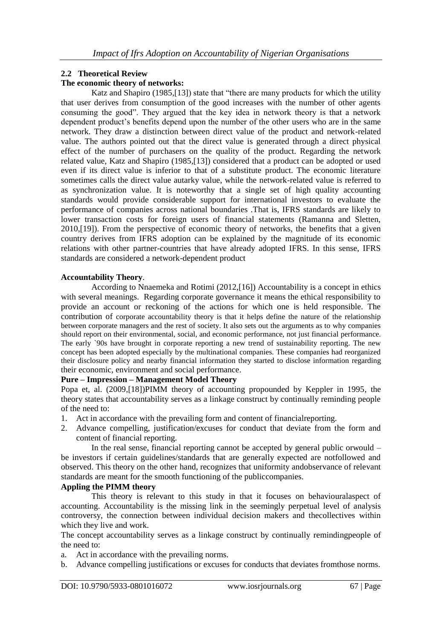## **2.2 Theoretical Review**

## **The economic theory of networks:**

Katz and Shapiro (1985,[13]) state that "there are many products for which the utility that user derives from consumption of the good increases with the number of other agents consuming the good". They argued that the key idea in network theory is that a network dependent product"s benefits depend upon the number of the other users who are in the same network. They draw a distinction between direct value of the product and network-related value. The authors pointed out that the direct value is generated through a direct physical effect of the number of purchasers on the quality of the product. Regarding the network related value, Katz and Shapiro (1985,[13]) considered that a product can be adopted or used even if its direct value is inferior to that of a substitute product. The economic literature sometimes calls the direct value autarky value, while the network-related value is referred to as synchronization value. It is noteworthy that a single set of high quality accounting standards would provide considerable support for international investors to evaluate the performance of companies across national boundaries .That is, IFRS standards are likely to lower transaction costs for foreign users of financial statements (Ramanna and Sletten, 2010,[19]). From the perspective of economic theory of networks, the benefits that a given country derives from IFRS adoption can be explained by the magnitude of its economic relations with other partner-countries that have already adopted IFRS. In this sense, IFRS standards are considered a network-dependent product

## **Accountability Theory**.

According to Nnaemeka and Rotimi (2012,[16]) Accountability is a concept in ethics with several meanings. Regarding corporate governance it means the ethical responsibility to provide an account or reckoning of the actions for which one is held responsible. The contribution of corporate accountability theory is that it helps define the nature of the relationship between corporate managers and the rest of society. It also sets out the arguments as to why companies should report on their environmental, social, and economic performance, not just financial performance. The early `90s have brought in corporate reporting a new trend of sustainability reporting. The new concept has been adopted especially by the multinational companies. These companies had reorganized their disclosure policy and nearby financial information they started to disclose information regarding their economic, environment and social performance.

#### **Pure – Impression – Management Model Theory**

Popa et, al. (2009,[18])PIMM theory of accounting propounded by Keppler in 1995, the theory states that accountability serves as a linkage construct by continually reminding people of the need to:

- 1. Act in accordance with the prevailing form and content of financialreporting.
- 2. Advance compelling, justification/excuses for conduct that deviate from the form and content of financial reporting.

In the real sense, financial reporting cannot be accepted by general public orwould – be investors if certain guidelines/standards that are generally expected are notfollowed and observed. This theory on the other hand, recognizes that uniformity andobservance of relevant standards are meant for the smooth functioning of the publiccompanies.

#### **Appling the PIMM theory**

This theory is relevant to this study in that it focuses on behaviouralaspect of accounting. Accountability is the missing link in the seemingly perpetual level of analysis controversy, the connection between individual decision makers and thecollectives within which they live and work.

The concept accountability serves as a linkage construct by continually remindingpeople of the need to:

- a. Act in accordance with the prevailing norms.
- b. Advance compelling justifications or excuses for conducts that deviates fromthose norms.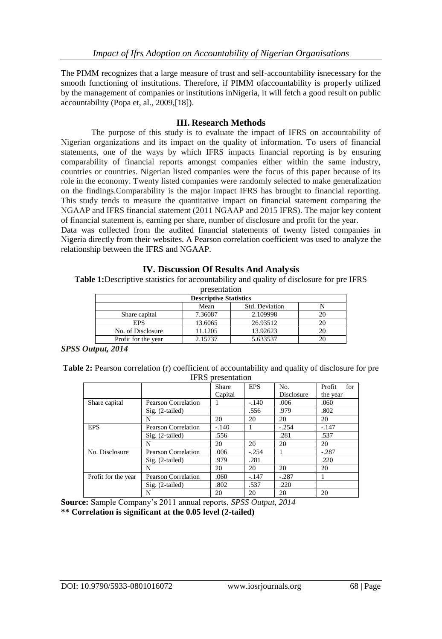The PIMM recognizes that a large measure of trust and self-accountability isnecessary for the smooth functioning of institutions. Therefore, if PIMM ofaccountability is properly utilized by the management of companies or institutions inNigeria, it will fetch a good result on public accountability (Popa et, al., 2009,[18]).

# **III. Research Methods**

The purpose of this study is to evaluate the impact of IFRS on accountability of Nigerian organizations and its impact on the quality of information. To users of financial statements, one of the ways by which IFRS impacts financial reporting is by ensuring comparability of financial reports amongst companies either within the same industry, countries or countries. Nigerian listed companies were the focus of this paper because of its role in the economy. Twenty listed companies were randomly selected to make generalization on the findings.Comparability is the major impact IFRS has brought to financial reporting. This study tends to measure the quantitative impact on financial statement comparing the NGAAP and IFRS financial statement (2011 NGAAP and 2015 IFRS). The major key content of financial statement is, earning per share, number of disclosure and profit for the year. Data was collected from the audited financial statements of twenty listed companies in

Nigeria directly from their websites. A Pearson correlation coefficient was used to analyze the relationship between the IFRS and NGAAP.

|  | <b>IV. Discussion Of Results And Analysis</b> |  |  |  |  |
|--|-----------------------------------------------|--|--|--|--|
|--|-----------------------------------------------|--|--|--|--|

**Table 1:**Descriptive statistics for accountability and quality of disclosure for pre IFRS

| presentation                  |                        |          |    |  |  |  |  |  |  |
|-------------------------------|------------------------|----------|----|--|--|--|--|--|--|
| <b>Descriptive Statistics</b> |                        |          |    |  |  |  |  |  |  |
|                               | Std. Deviation<br>Mean |          |    |  |  |  |  |  |  |
| Share capital                 | 7.36087                | 2.109998 | 20 |  |  |  |  |  |  |
| <b>EPS</b>                    | 13.6065                | 26.93512 | 20 |  |  |  |  |  |  |
| No. of Disclosure             | 11.1205                | 13.92623 | 20 |  |  |  |  |  |  |
| Profit for the year           | 2.15737                | 5.633537 |    |  |  |  |  |  |  |

*SPSS Output, 2014*

| Table 2: Pearson correlation (r) coefficient of accountability and quality of disclosure for pre |
|--------------------------------------------------------------------------------------------------|
| <b>IFRS</b> presentation                                                                         |

|                     |                            | Share   | <b>EPS</b> | No.        | Profit<br>for |
|---------------------|----------------------------|---------|------------|------------|---------------|
|                     |                            | Capital |            | Disclosure | the year      |
| Share capital       | <b>Pearson Correlation</b> |         | $-.140$    | .006       | .060          |
|                     | $Sig. (2-tailed)$          |         | .556       | .979       | .802          |
|                     | N                          | 20      | 20         | 20         | 20            |
| <b>EPS</b>          | Pearson Correlation        | $-.140$ |            | $-.254$    | $-.147$       |
|                     | $Sig. (2-tailed)$          | .556    |            | .281       | .537          |
|                     | N                          | 20      | 20         | 20         | 20            |
| No. Disclosure      | Pearson Correlation        | .006    | $-.254$    |            | $-.287$       |
|                     | $Sig. (2-tailed)$          | .979    | .281       |            | .220          |
|                     | N                          | 20      | 20         | 20         | 20            |
| Profit for the year | Pearson Correlation        | .060    | $-.147$    | $-.287$    |               |
|                     | $Sig. (2-tailed)$          | .802    | .537       | .220       |               |
|                     | N                          | 20      | 20         | 20         | 20            |

**Source:** Sample Company"s 2011 annual reports, *SPSS Output, 2014*

**\*\* Correlation is significant at the 0.05 level (2-tailed)**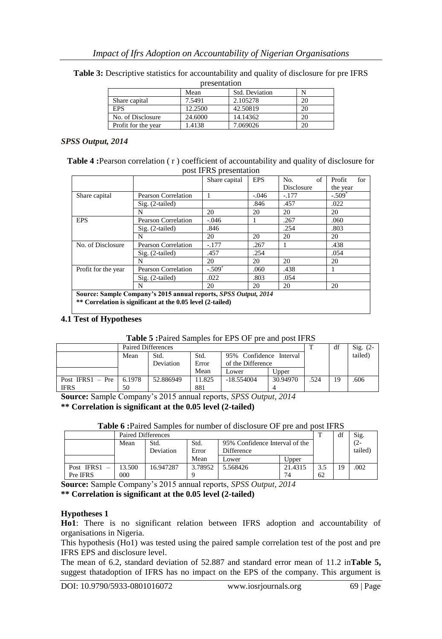| presentation           |         |          |    |  |  |  |  |  |
|------------------------|---------|----------|----|--|--|--|--|--|
| Std. Deviation<br>Mean |         |          |    |  |  |  |  |  |
| Share capital          | 7.5491  | 2.105278 | 20 |  |  |  |  |  |
| <b>EPS</b>             | 12.2500 | 42.50819 |    |  |  |  |  |  |
| No. of Disclosure      | 24.6000 | 14.14362 |    |  |  |  |  |  |
| Profit for the year    | 1.4138  | 7.069026 |    |  |  |  |  |  |

**Table 3:** Descriptive statistics for accountability and quality of disclosure for pre IFRS

#### *SPSS Output, 2014*

| <b>Table 4:</b> Pearson correlation (r) coefficient of accountability and quality of disclosure for |
|-----------------------------------------------------------------------------------------------------|
| post IFRS presentation                                                                              |

|                                                                                                                               |                     | Share capital  | <b>EPS</b> | of<br>No.  | for<br>Profit        |  |  |  |
|-------------------------------------------------------------------------------------------------------------------------------|---------------------|----------------|------------|------------|----------------------|--|--|--|
|                                                                                                                               |                     |                |            | Disclosure | the year             |  |  |  |
| Share capital                                                                                                                 | Pearson Correlation |                | $-.046$    | $-.177$    | $-.509$ <sup>*</sup> |  |  |  |
|                                                                                                                               | $Sig. (2-tailed)$   |                | .846       | .457       | .022                 |  |  |  |
|                                                                                                                               | N                   | 20<br>20<br>20 |            | 20         |                      |  |  |  |
| <b>EPS</b>                                                                                                                    | Pearson Correlation | $-.046$        |            | .267       | .060                 |  |  |  |
|                                                                                                                               | $Sig. (2-tailed)$   | .846           |            | .254       | .803                 |  |  |  |
|                                                                                                                               | N                   | 20             | 20         | 20         | 20                   |  |  |  |
| No. of Disclosure                                                                                                             | Pearson Correlation | $-.177$        | .267       |            | .438                 |  |  |  |
|                                                                                                                               | $Sig. (2-tailed)$   | .457           | .254       |            | .054                 |  |  |  |
|                                                                                                                               | N                   | 20             | 20         | 20         | 20                   |  |  |  |
| Profit for the year                                                                                                           | Pearson Correlation | $-.509*$       | .060       | .438       |                      |  |  |  |
|                                                                                                                               | $Sig. (2-tailed)$   | .022           | .803       | .054       |                      |  |  |  |
|                                                                                                                               | N                   | 20             | 20         | 20         | 20                   |  |  |  |
| Source: Sample Company's 2015 annual reports, SPSS Output, 2014<br>** Correlation is significant at the 0.05 level (2-tailed) |                     |                |            |            |                      |  |  |  |

#### **4.1 Test of Hypotheses**

#### **Table 5 :**Paired Samples for EPS OF pre and post IFRS

|                    | Paired Differences |                                         |        |                   |              |      | df | $Sig. (2-$ |
|--------------------|--------------------|-----------------------------------------|--------|-------------------|--------------|------|----|------------|
|                    | Mean               | 95% Confidence Interval<br>Std.<br>Std. |        |                   |              |      |    | tailed)    |
|                    |                    | Deviation                               | Error  | of the Difference |              |      |    |            |
|                    |                    |                                         | Mean   | Lower             | <b>Upper</b> |      |    |            |
| Post IFRS1 $-$ Pre | 6.1978             | 52.886949                               | 11.825 | $-18.554004$      | 30.94970     | .524 | 19 | .606       |
| <b>IFRS</b>        | 50                 |                                         | 881    |                   |              |      |    |            |

**Source:** Sample Company"s 2015 annual reports, *SPSS Output, 2014*

#### **\*\* Correlation is significant at the 0.05 level (2-tailed)**

**Table 6 :**Paired Samples for number of disclosure OF pre and post IFRS

|            | Paired Differences |                   |                                                               |          |         |     | df | Sig.           |
|------------|--------------------|-------------------|---------------------------------------------------------------|----------|---------|-----|----|----------------|
|            | Mean               | Std.<br>Deviation | Std.<br>95% Confidence Interval of the<br>Difference<br>Error |          |         |     |    | (2-<br>tailed) |
|            |                    |                   | Mean                                                          | Lower    | Upper   |     |    |                |
| Post IFRS1 | 13.500             | 16.947287         | 3.78952                                                       | 5.568426 | 21.4315 | 3.5 | 19 | .002           |
| Pre IFRS   | 000                |                   |                                                               |          | 74      | 62  |    |                |

**Source:** Sample Company"s 2015 annual reports, *SPSS Output, 2014*

**\*\* Correlation is significant at the 0.05 level (2-tailed)**

#### **Hypotheses 1**

**Ho1**: There is no significant relation between IFRS adoption and accountability of organisations in Nigeria.

This hypothesis (Ho1) was tested using the paired sample correlation test of the post and pre IFRS EPS and disclosure level.

The mean of 6.2, standard deviation of 52.887 and standard error mean of 11.2 in**Table 5,**  suggest thatadoption of IFRS has no impact on the EPS of the company. This argument is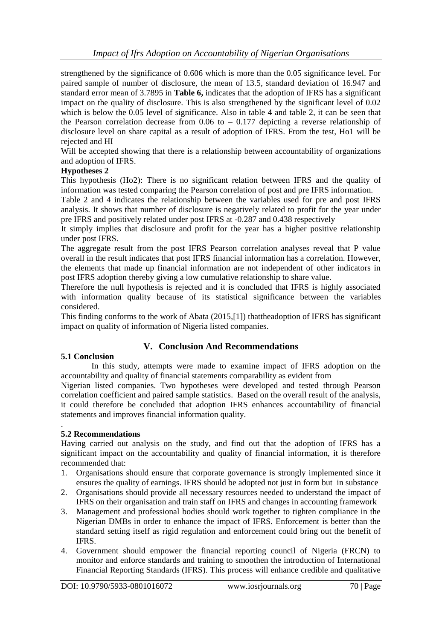strengthened by the significance of 0.606 which is more than the 0.05 significance level. For paired sample of number of disclosure, the mean of 13.5, standard deviation of 16.947 and standard error mean of 3.7895 in **Table 6,** indicates that the adoption of IFRS has a significant impact on the quality of disclosure. This is also strengthened by the significant level of 0.02 which is below the 0.05 level of significance. Also in table 4 and table 2, it can be seen that the Pearson correlation decrease from  $0.06$  to  $-0.177$  depicting a reverse relationship of disclosure level on share capital as a result of adoption of IFRS. From the test, Ho1 will be rejected and HI

Will be accepted showing that there is a relationship between accountability of organizations and adoption of IFRS.

# **Hypotheses 2**

This hypothesis (Ho2): There is no significant relation between IFRS and the quality of information was tested comparing the Pearson correlation of post and pre IFRS information.

Table 2 and 4 indicates the relationship between the variables used for pre and post IFRS analysis. It shows that number of disclosure is negatively related to profit for the year under pre IFRS and positively related under post IFRS at -0.287 and 0.438 respectively

It simply implies that disclosure and profit for the year has a higher positive relationship under post IFRS.

The aggregate result from the post IFRS Pearson correlation analyses reveal that P value overall in the result indicates that post IFRS financial information has a correlation. However, the elements that made up financial information are not independent of other indicators in post IFRS adoption thereby giving a low cumulative relationship to share value.

Therefore the null hypothesis is rejected and it is concluded that IFRS is highly associated with information quality because of its statistical significance between the variables considered.

This finding conforms to the work of Abata (2015,[1]) thattheadoption of IFRS has significant impact on quality of information of Nigeria listed companies.

# **V. Conclusion And Recommendations**

#### **5.1 Conclusion**

In this study, attempts were made to examine impact of IFRS adoption on the accountability and quality of financial statements comparability as evident from

Nigerian listed companies. Two hypotheses were developed and tested through Pearson correlation coefficient and paired sample statistics. Based on the overall result of the analysis, it could therefore be concluded that adoption IFRS enhances accountability of financial statements and improves financial information quality.

#### . **5.2 Recommendations**

Having carried out analysis on the study, and find out that the adoption of IFRS has a significant impact on the accountability and quality of financial information, it is therefore recommended that:

- 1. Organisations should ensure that corporate governance is strongly implemented since it ensures the quality of earnings. IFRS should be adopted not just in form but in substance
- 2. Organisations should provide all necessary resources needed to understand the impact of IFRS on their organisation and train staff on IFRS and changes in accounting framework
- 3. Management and professional bodies should work together to tighten compliance in the Nigerian DMBs in order to enhance the impact of IFRS. Enforcement is better than the standard setting itself as rigid regulation and enforcement could bring out the benefit of IFRS.
- 4. Government should empower the financial reporting council of Nigeria (FRCN) to monitor and enforce standards and training to smoothen the introduction of International Financial Reporting Standards (IFRS). This process will enhance credible and qualitative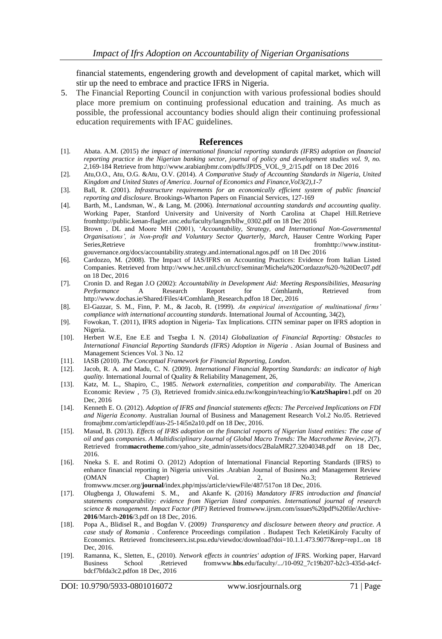financial statements, engendering growth and development of capital market, which will stir up the need to embrace and practice IFRS in Nigeria.

5. The Financial Reporting Council in conjunction with various professional bodies should place more premium on continuing professional education and training. As much as possible, the professional accountancy bodies should align their continuing professional education requirements with IFAC guidelines.

#### **References**

- [1]. Abata. A.M. (2015) *the impact of international financial reporting standards (IFRS) adoption on financial reporting practice in the Nigerian banking sector*, *journal of policy and development studies vol. 9, no. 2,*169-184 Retrieve fro[m http://www.arabianjbmr.com/pdfs/JPDS\\_VOL\\_9\\_2/15.pdf on 18 Dec 2016](http://www.arabianjbmr.com/pdfs/JPDS_VOL_9_2/15.pdf%20%20%20on%2018%20Dec%202016)
- [2]. Atu,O.O., Atu, O.G. &Atu, O.V. (2014). *A Comparative Study of Accounting Standards in Nigeria, United Kingdom and United States of America*. *Journal of Economics and Finance,Vol3(2),1-7*
- [3]. Ball, R. (2001). *Infrastructure requirements for an economically efficient system of public financial reporting and disclosure.* Brookings-Wharton Papers on Financial Services, 127-169
- [4]. Barth, M., Landsman, W., & Lang, M. (2006). *International accounting standards and accounting quality.* Working Paper, Stanford University and University of North Carolina at Chapel Hill.Retrieve fro[mhttp://public.kenan-flagler.unc.edu/faculty/langm/bllw\\_0302.pdf](http://public.kenan-flagler.unc.edu/faculty/langm/bllw_0302.pdf) on 18 Dec 2016
- [5]. Brown , DL and Moore MH (2001), "*Accountability, Strategy, and International Non-Governmental Organisations', in Non-profit and Voluntary Sector Quarterly, March*, Hauser Centre Working Paper Series,Retrieve fro[mhttp://www.institut](http://www.institut-gouvernance.org/docs/accountability.strategy.and.international.ngos.pdf)[gouvernance.org/docs/accountability.strategy.and.international.ngos.pdf](http://www.institut-gouvernance.org/docs/accountability.strategy.and.international.ngos.pdf) on 18 Dec 2016
- [6]. Cardozzo, M. (2008). The Impact of IAS/IFRS on Accounting Practices: Evidence from Italian Listed Companies. Retrieved from http://www.hec.unil.ch/urccf/seminar/Michela%20Cordazzo%20-%20Dec07.pdf on 18 Dec, 2016
- [7]. Cronin D. and Regan J.O (2002): *Accountability in Development Aid: Meeting Responsibilities, Measuring Performance* A Research Report for Cómhlamh, Retrieved from [http://www.dochas.ie/Shared/Files/4/Comhlamh\\_Research.pdfo](http://www.dochas.ie/Shared/Files/4/Comhlamh_Research.pdf)n 18 Dec, 2016
- [8]. El-Gazzar, S. M., Finn, P. M., & Jacob, R. (1999). *An empirical investigation of multinational firms' compliance with international accounting standards*. International Journal of Accounting, 34(2),
- [9]. Fowokan, T. (2011), IFRS adoption in Nigeria- Tax Implications. CITN seminar paper on IFRS adoption in Nigeria.
- [10]. Herbert W.E, Ene E.E and Tsegba I. N. (2014*) Globalization of Financial Reporting: Obstacles to International Financial Reporting Standards (IFRS) Adoption in Nigeria* . Asian Journal of Business and Management Sciences Vol. 3 No. 12
- [11]. IASB (2010). *The Conceptual Framework for Financial Reporting, London*.
- [12]. Jacob, R. A. and Madu, C. N. (2009). *International Financial Reporting Standards: an indicator of high quality.* International Journal of Quality & Reliability Management, 26,
- [13]. Katz, M. L., Shapiro, C., 1985. *Network externalities, competition and comparability*. The American Economic Review , 75 (3), Retrieved fromidv.sinica.edu.tw/kongpin/teaching/io/**KatzShapiro**1.pdf on 20 Dec, 2016
- [14]. Kenneth E. O. (2012). *Adoption of IFRS and financial statements effects: The Perceived Implications on FDI and Nigeria Economy*. Australian Journal of Business and Management Research Vol.2 No.05. Retrieved fromajbmr.com/articlepdf/aus-25-14i5n2a10.pdf on 18 Dec, 2016.
- [15]. Masud, B. (2013). *Effects of IFRS adoption on the financial reports of Nigerian listed entities: The case of oil and gas companies*. *A Multidisciplinary Journal of Global Macro Trends: The Macrotheme Review, 2*(7). Retrieved from**macrotheme**.com/yahoo\_site\_admin/assets/docs/2BalaMR27.32040348.pdf on 18 Dec, 2016.
- [16]. Nneka S. E. and Rotimi O. (2012) Adoption of International Financial Reporting Standards (IFRS) to enhance financial reporting in Nigeria universities .Arabian Journal of Business and Management Review (OMAN Chapter) Vol. 2, No.3; Retrieved fromwww.mcser.org/**journal**[/index.php/mjss/article/viewFile/487/517o](http://www.mcser.org/journal/index.php/mjss/article/viewFile/487/517)n 18 Dec, 2016.
- [17]. Olugbenga J, Oluwafemi S. M., and Akanfe K. (2016) *Mandatory IFRS introduction and financial statements comparability: evidence from Nigerian listed companies. International journal of research science & management. Impact Factor (PIF)* Retrieved fro[mwww.ijrsm.com/issues%20pdf%20file/Archive-](http://www.ijrsm.com/issues%20pdf%20file/Archive-2016/March-2016/3.pd)**2016**[/March-](http://www.ijrsm.com/issues%20pdf%20file/Archive-2016/March-2016/3.pd)**2016**/3.pdf on 18 Dec, 2016.
- [18]. Popa A., Blidisel R., and Bogdan V. (2009*) Transparency and disclosure between theory and practice. A case study of Romania .* Conference Proceedings compilation . Budapest Tech KeletiKároly Faculty of Economics. Retrieved fromciteseerx.ist.psu.edu/viewdoc/download?doi=10.1.1.473.9077&rep=rep1..on 18 Dec, 2016.
- [19]. Ramanna, K., Sletten, E., (2010). *Network effects in countries' adoption of IFRS*. Working paper, Harvard Business School .Retrieved fromwww.**hbs**[.edu/faculty/.../10-092\\_7c19b207-b2c3-435d-a4cf](http://www.hbs.edu/faculty/.../10-092_7c19b207-b2c3-435d-a4cf-bdcf7bfda3c2.pd)[bdcf7bfda3c2.pdf](http://www.hbs.edu/faculty/.../10-092_7c19b207-b2c3-435d-a4cf-bdcf7bfda3c2.pd)on 18 Dec, 2016